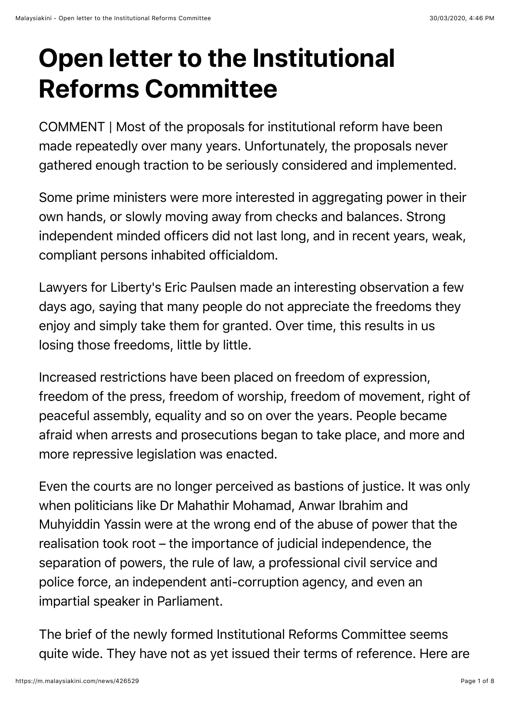# **Open letter to the Institutional Reforms Committee**

COMMENT | Most of the proposals for institutional reform have been made repeatedly over many years. Unfortunately, the proposals never gathered enough traction to be seriously considered and implemented.

Some prime ministers were more interested in aggregating power in their own hands, or slowly moving away from checks and balances. Strong independent minded officers did not last long, and in recent years, weak, compliant persons inhabited officialdom.

Lawyers for Liberty's Eric Paulsen made an interesting observation a few days ago, saying that many people do not appreciate the freedoms they enjoy and simply take them for granted. Over time, this results in us losing those freedoms, little by little.

Increased restrictions have been placed on freedom of expression, freedom of the press, freedom of worship, freedom of movement, right of peaceful assembly, equality and so on over the years. People became afraid when arrests and prosecutions began to take place, and more and more repressive legislation was enacted.

Even the courts are no longer perceived as bastions of justice. It was only when politicians like Dr Mahathir Mohamad, Anwar Ibrahim and Muhyiddin Yassin were at the wrong end of the abuse of power that the realisation took root – the importance of judicial independence, the separation of powers, the rule of law, a professional civil service and police force, an independent anti-corruption agency, and even an impartial speaker in Parliament.

The brief of the newly formed Institutional Reforms Committee seems quite wide. They have not as yet issued their terms of reference. Here are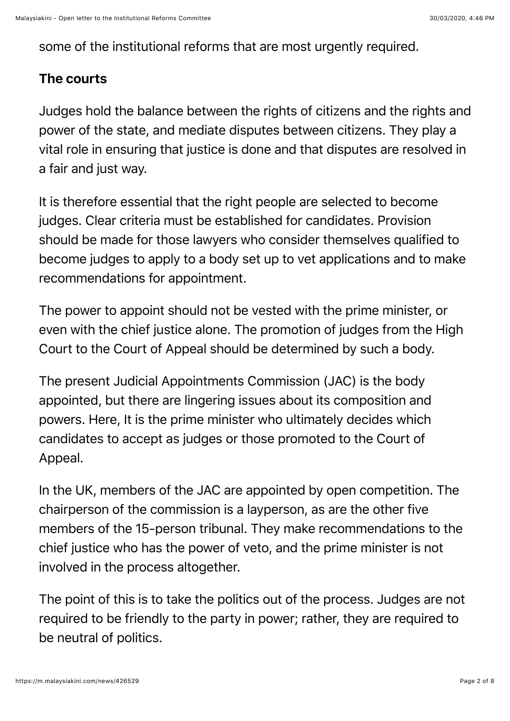some of the institutional reforms that are most urgently required.

### The courts

Judges hold the balance between the rights of citizens and the rights and power of the state, and mediate disputes between citizens. They play a vital role in ensuring that justice is done and that disputes are resolved in a fair and just way.

It is therefore essential that the right people are selected to become judges. Clear criteria must be established for candidates. Provision should be made for those lawyers who consider themselves qualified to become judges to apply to a body set up to vet applications and to make recommendations for appointment.

The power to appoint should not be vested with the prime minister, or even with the chief justice alone. The promotion of judges from the High Court to the Court of Appeal should be determined by such a body.

The present Judicial Appointments Commission (JAC) is the body appointed, but there are lingering issues about its composition and powers. Here, It is the prime minister who ultimately decides which candidates to accept as judges or those promoted to the Court of Appeal.

In the UK, members of the JAC are appointed by open competition. The chairperson of the commission is a layperson, as are the other five members of the 15-person tribunal. They make recommendations to the chief justice who has the power of veto, and the prime minister is not involved in the process altogether.

The point of this is to take the politics out of the process. Judges are not required to be friendly to the party in power; rather, they are required to be neutral of politics.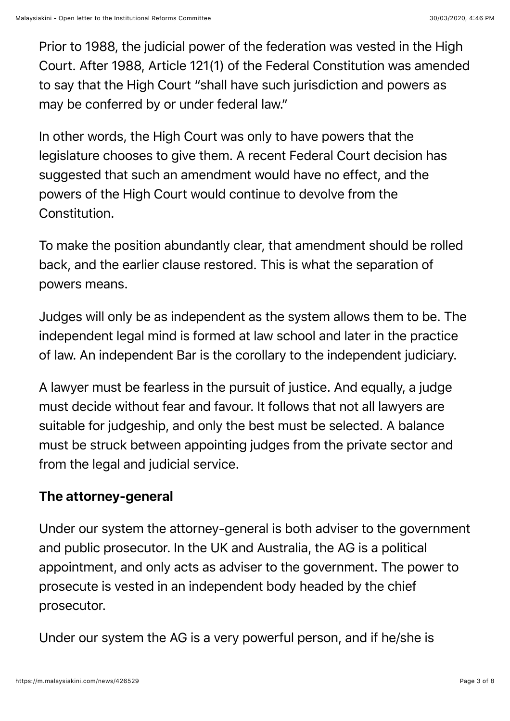Prior to 1988, the judicial power of the federation was vested in the High Court. After 1988, Article 121(1) of the Federal Constitution was amended to say that the High Court "shall have such jurisdiction and powers as may be conferred by or under federal law."

In other words, the High Court was only to have powers that the legislature chooses to give them. A recent Federal Court decision has suggested that such an amendment would have no effect, and the powers of the High Court would continue to devolve from the Constitution.

To make the position abundantly clear, that amendment should be rolled back, and the earlier clause restored. This is what the separation of powers means.

Judges will only be as independent as the system allows them to be. The independent legal mind is formed at law school and later in the practice of law. An independent Bar is the corollary to the independent judiciary.

A lawyer must be fearless in the pursuit of justice. And equally, a judge must decide without fear and favour. It follows that not all lawyers are suitable for judgeship, and only the best must be selected. A balance must be struck between appointing judges from the private sector and from the legal and judicial service.

# The attorney-general

Under our system the attorney-general is both adviser to the government and public prosecutor. In the UK and Australia, the AG is a political appointment, and only acts as adviser to the government. The power to prosecute is vested in an independent body headed by the chief prosecutor.

Under our system the AG is a very powerful person, and if he/she is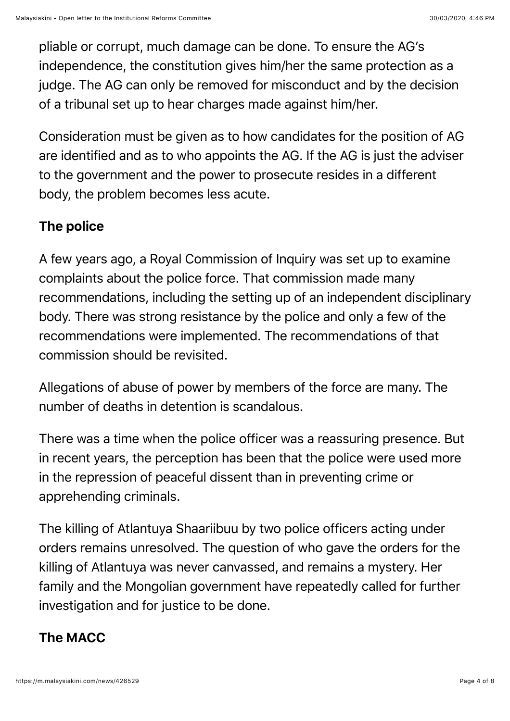pliable or corrupt, much damage can be done. To ensure the AG's independence, the constitution gives him/her the same protection as a judge. The AG can only be removed for misconduct and by the decision of a tribunal set up to hear charges made against him/her.

Consideration must be given as to how candidates for the position of AG are identified and as to who appoints the AG. If the AG is just the adviser to the government and the power to prosecute resides in a different body, the problem becomes less acute.

## The police

A few years ago, a Royal Commission of Inquiry was set up to examine complaints about the police force. That commission made many recommendations, including the setting up of an independent disciplinary body. There was strong resistance by the police and only a few of the recommendations were implemented. The recommendations of that commission should be revisited.

Allegations of abuse of power by members of the force are many. The number of deaths in detention is scandalous.

There was a time when the police officer was a reassuring presence. But in recent years, the perception has been that the police were used more in the repression of peaceful dissent than in preventing crime or apprehending criminals.

The killing of Atlantuya Shaariibuu by two police officers acting under orders remains unresolved. The question of who gave the orders for the killing of Atlantuya was never canvassed, and remains a mystery. Her family and the Mongolian government have repeatedly called for further investigation and for justice to be done.

# The MACC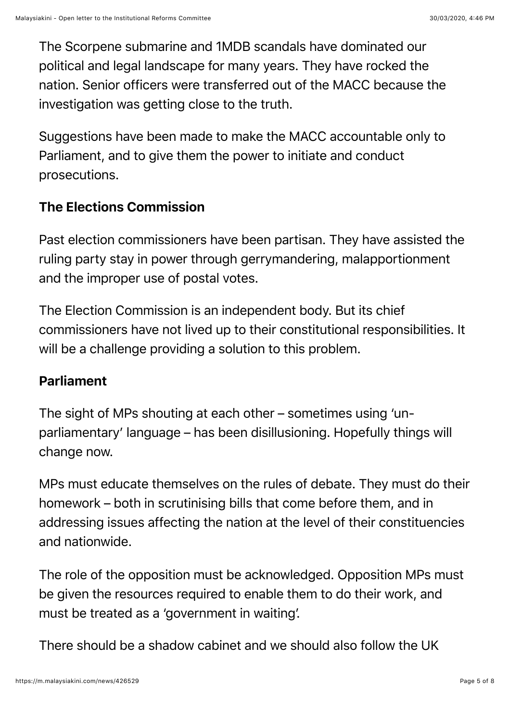The Scorpene submarine and 1MDB scandals have dominated our political and legal landscape for many years. They have rocked the nation. Senior officers were transferred out of the MACC because the investigation was getting close to the truth.

Suggestions have been made to make the MACC accountable only to Parliament, and to give them the power to initiate and conduct prosecutions.

# The Elections Commission

Past election commissioners have been partisan. They have assisted the ruling party stay in power through gerrymandering, malapportionment and the improper use of postal votes.

The Election Commission is an independent body. But its chief commissioners have not lived up to their constitutional responsibilities. It will be a challenge providing a solution to this problem.

#### Parliament

The sight of MPs shouting at each other – sometimes using 'unparliamentary' language – has been disillusioning. Hopefully things will change now.

MPs must educate themselves on the rules of debate. They must do their homework – both in scrutinising bills that come before them, and in addressing issues affecting the nation at the level of their constituencies and nationwide.

The role of the opposition must be acknowledged. Opposition MPs must be given the resources required to enable them to do their work, and must be treated as a 'government in waiting'.

There should be a shadow cabinet and we should also follow the UK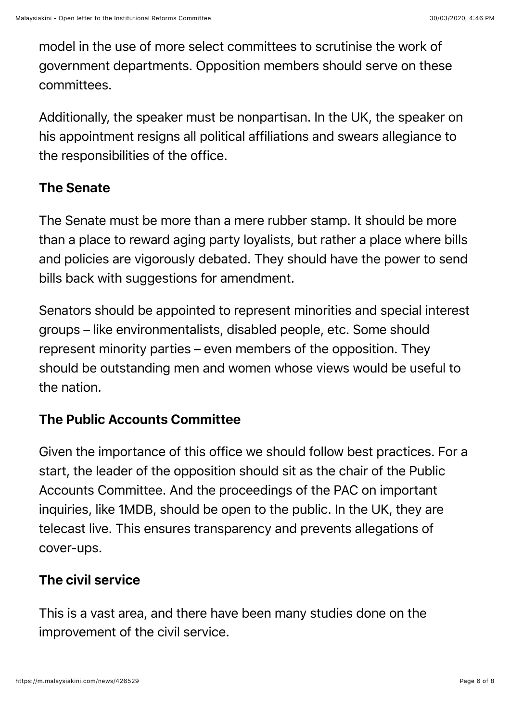model in the use of more select committees to scrutinise the work of government departments. Opposition members should serve on these committees.

Additionally, the speaker must be nonpartisan. In the UK, the speaker on his appointment resigns all political affiliations and swears allegiance to the responsibilities of the office.

## The Senate

The Senate must be more than a mere rubber stamp. It should be more than a place to reward aging party loyalists, but rather a place where bills and policies are vigorously debated. They should have the power to send bills back with suggestions for amendment.

Senators should be appointed to represent minorities and special interest groups – like environmentalists, disabled people, etc. Some should represent minority parties – even members of the opposition. They should be outstanding men and women whose views would be useful to the nation.

# The Public Accounts Committee

Given the importance of this office we should follow best practices. For a start, the leader of the opposition should sit as the chair of the Public Accounts Committee. And the proceedings of the PAC on important inquiries, like 1MDB, should be open to the public. In the UK, they are telecast live. This ensures transparency and prevents allegations of cover-ups.

# The civil service

This is a vast area, and there have been many studies done on the improvement of the civil service.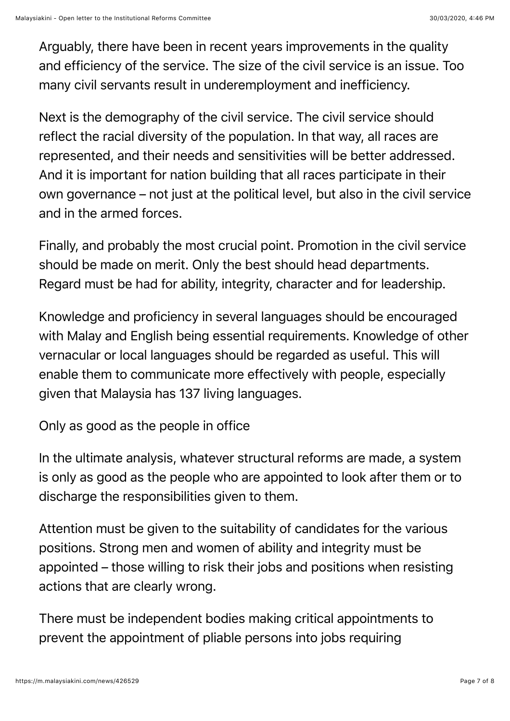Arguably, there have been in recent years improvements in the quality and efficiency of the service. The size of the civil service is an issue. Too many civil servants result in underemployment and inefficiency.

Next is the demography of the civil service. The civil service should reflect the racial diversity of the population. In that way, all races are represented, and their needs and sensitivities will be better addressed. And it is important for nation building that all races participate in their own governance – not just at the political level, but also in the civil service and in the armed forces.

Finally, and probably the most crucial point. Promotion in the civil service should be made on merit. Only the best should head departments. Regard must be had for ability, integrity, character and for leadership.

Knowledge and proficiency in several languages should be encouraged with Malay and English being essential requirements. Knowledge of other vernacular or local languages should be regarded as useful. This will enable them to communicate more effectively with people, especially given that Malaysia has 137 living languages.

Only as good as the people in office

In the ultimate analysis, whatever structural reforms are made, a system is only as good as the people who are appointed to look after them or to discharge the responsibilities given to them.

Attention must be given to the suitability of candidates for the various positions. Strong men and women of ability and integrity must be appointed – those willing to risk their jobs and positions when resisting actions that are clearly wrong.

There must be independent bodies making critical appointments to prevent the appointment of pliable persons into jobs requiring